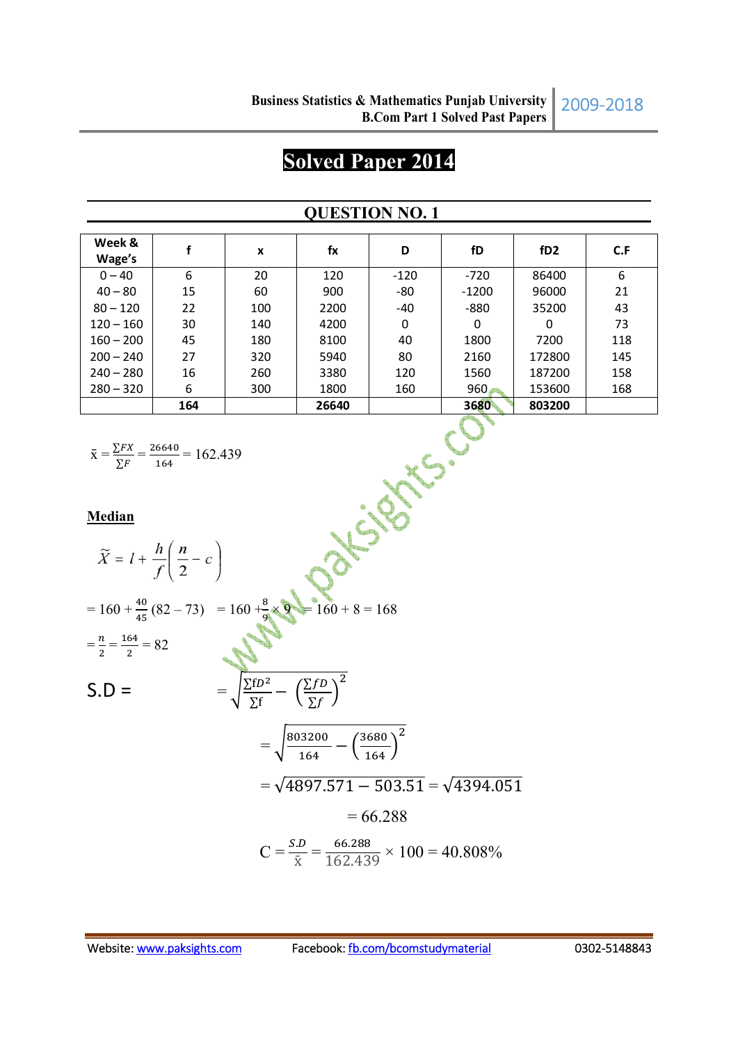# **Solved Paper 2014**

## **QUESTION NO. 1**

| Week &<br>Wage's |     | X   | fx    | D      | fD      | fD <sub>2</sub> | C.F |
|------------------|-----|-----|-------|--------|---------|-----------------|-----|
| $0 - 40$         | 6   | 20  | 120   | $-120$ | $-720$  | 86400           | 6   |
| $40 - 80$        | 15  | 60  | 900   | -80    | $-1200$ | 96000           | 21  |
| $80 - 120$       | 22  | 100 | 2200  | -40    | $-880$  | 35200           | 43  |
| $120 - 160$      | 30  | 140 | 4200  | 0      | 0       | 0               | 73  |
| $160 - 200$      | 45  | 180 | 8100  | 40     | 1800    | 7200            | 118 |
| $200 - 240$      | 27  | 320 | 5940  | 80     | 2160    | 172800          | 145 |
| $240 - 280$      | 16  | 260 | 3380  | 120    | 1560    | 187200          | 158 |
| $280 - 320$      | 6   | 300 | 1800  | 160    | 960     | 153600          | 168 |
|                  | 164 |     | 26640 |        | 3680    | 803200          |     |

$$
\bar{x} = \frac{\sum FX}{\sum F} = \frac{26640}{164} = 162.439
$$

164  
\n
$$
\bar{x} = \frac{\sum FX}{\sum F} = \frac{26640}{164} = 162.439
$$
\nMedian  
\n
$$
\bar{X} = l + \frac{h}{f}(\frac{n}{2} - c)
$$
\n
$$
= 160 + \frac{40}{45}(82 - 73) = 160 + \frac{8}{9} \times 9 = 160 + 8 = 168
$$
\n
$$
= \frac{n}{2} = \frac{164}{2} = 82
$$
\n
$$
S.D = \qquad \qquad = \sqrt{\frac{\sum fp}{\sum f} - (\frac{\sum fD}{\sum f})^2}{\sqrt{\frac{164}{164} - (\frac{3680}{164})^2}}
$$
\n
$$
= \sqrt{4897.571 - 503.51} = \sqrt{4394.051}
$$
\n
$$
= 66.288
$$
\n
$$
C = \frac{S.D}{\bar{x}} = \frac{66.288}{162.439} \times 100 = 40.808\%
$$

2009-2018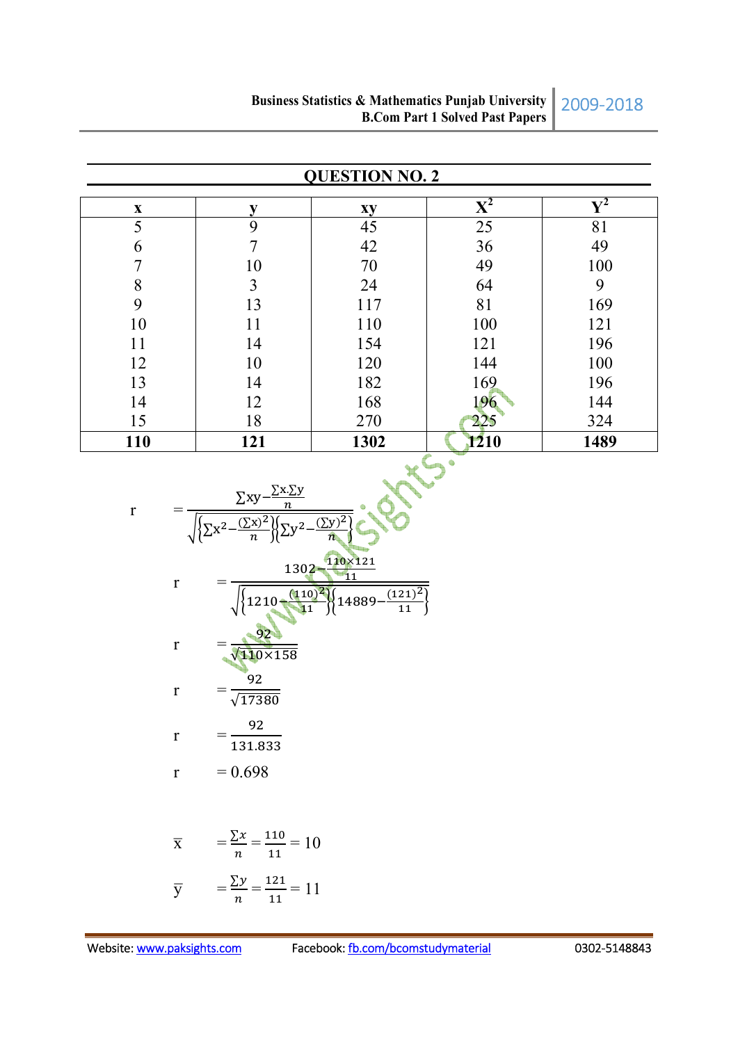| <b>QUESTION NO. 2</b> |                |      |                           |                |  |
|-----------------------|----------------|------|---------------------------|----------------|--|
| $\mathbf{X}$          |                | xy   | $\mathbf{X}^{\mathbf{2}}$ | $\mathbf{V}^2$ |  |
| 5                     | 9              | 45   | 25                        | 81             |  |
| 6                     | 7              | 42   | 36                        | 49             |  |
|                       | 10             | 70   | 49                        | 100            |  |
| 8                     | $\overline{3}$ | 24   | 64                        | 9              |  |
| 9                     | 13             | 117  | 81                        | 169            |  |
| 10                    | 11             | 110  | 100                       | 121            |  |
| 11                    | 14             | 154  | 121                       | 196            |  |
| 12                    | 10             | 120  | 144                       | 100            |  |
| 13                    | 14             | 182  | 169                       | 196            |  |
| 14                    | 12             | 168  | 196                       | 144            |  |
| 15                    | 18             | 270  | 225                       | 324            |  |
| 110                   | 121            | 1302 | 1210<br>400               | 1489           |  |

r = 
$$
\frac{\sum xy - \frac{\sum x \cdot \sum y}{n}}{\sqrt{\sum x^2 - \frac{(\sum x)^2}{n}} \sqrt{\sum y^2 - \frac{(\sum y)^2}{n}}}
$$
  
\nr = 
$$
\frac{1302 - \frac{110 \times 121}{11}}{\sqrt{\left\{1210 - \frac{(110)^2}{11}\right\} \left\{14889 - \frac{(121)^2}{11}\right\}}}
$$
  
\nr = 
$$
\frac{92}{\sqrt{17380}}
$$
  
\nr = 
$$
\frac{92}{131.833}
$$
  
\nr = 0.698

$$
\overline{x} = \frac{\sum x}{n} = \frac{110}{11} = 10
$$
  

$$
\overline{y} = \frac{\sum y}{n} = \frac{121}{11} = 11
$$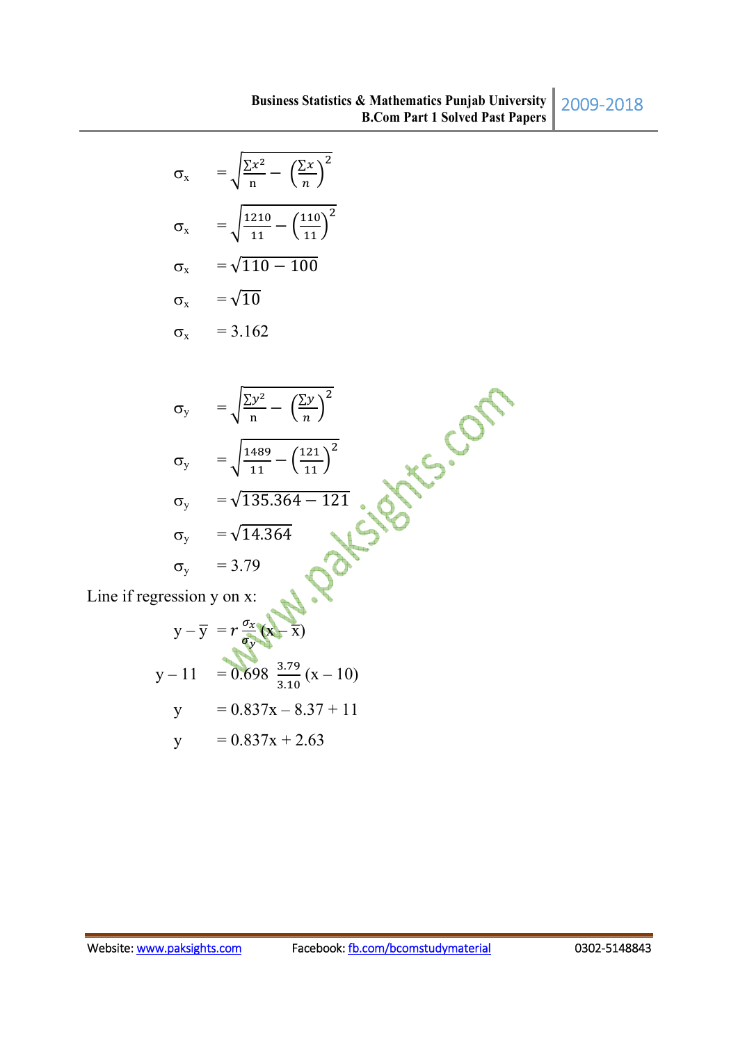$$
\sigma_x = \sqrt{\frac{\Sigma x^2}{n} - \left(\frac{\Sigma x}{n}\right)^2}
$$

$$
\sigma_x = \sqrt{\frac{1210}{11} - \left(\frac{110}{11}\right)^2}
$$

$$
\sigma_x = \sqrt{110 - 100}
$$

$$
\sigma_x = \sqrt{10}
$$

$$
\sigma_{\rm x} = 3.162
$$

$$
\sigma_{y} = \sqrt{\frac{\sum y^{2}}{n} - \left(\frac{\sum y}{n}\right)^{2}}
$$
\n
$$
\sigma_{y} = \sqrt{\frac{1489}{11} - \left(\frac{121}{11}\right)^{2}}
$$
\n
$$
\sigma_{y} = \sqrt{135.364 - 121}
$$
\n
$$
\sigma_{y} = \sqrt{14.364}
$$
\n
$$
\sigma_{y} = 3.79
$$
\nLine if regression y on x:

\n

Line if regression y on x:

$$
y - \overline{y} = r \frac{\sigma_x}{\sigma_y} (x - \overline{x})
$$
  

$$
y - 11 = 0.698 \frac{3.79}{3.10} (x - 10)
$$
  

$$
y = 0.837x - 8.37 + 11
$$
  

$$
y = 0.837x + 2.63
$$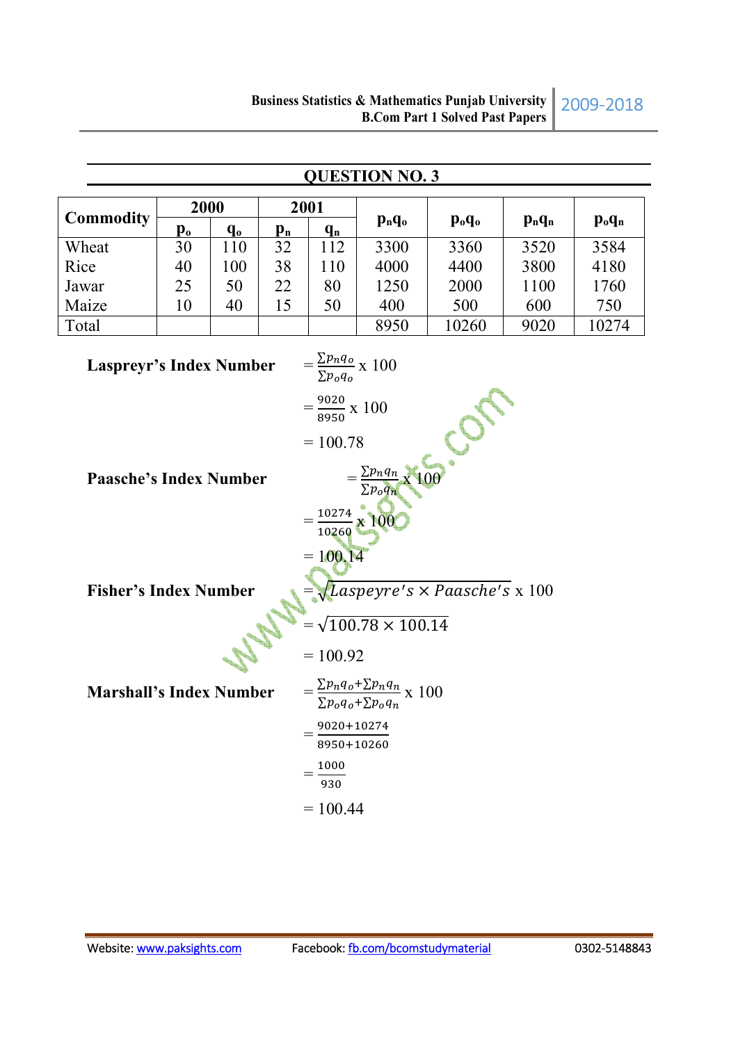|                                                                      | <b>QUESTION NO. 3</b>                                                             |         |                           |                                                                               |          |                                |           |           |  |
|----------------------------------------------------------------------|-----------------------------------------------------------------------------------|---------|---------------------------|-------------------------------------------------------------------------------|----------|--------------------------------|-----------|-----------|--|
| 2000                                                                 |                                                                                   |         |                           | 2001                                                                          |          |                                |           |           |  |
| <b>Commodity</b>                                                     | $\mathbf{p}_0$                                                                    | $q_{o}$ | $\mathbf{p}_{\mathbf{n}}$ | $q_{n}$                                                                       | $p_nq_o$ | $\mathbf{p}_{o}\mathbf{q}_{o}$ | $p_n q_n$ | $p_o q_n$ |  |
| Wheat                                                                | 30                                                                                | 110     | 32                        | 112                                                                           | 3300     | 3360                           | 3520      | 3584      |  |
| Rice                                                                 | 40                                                                                | 100     | 38                        | 110                                                                           | 4000     | 4400                           | 3800      | 4180      |  |
| Jawar                                                                | 25                                                                                | 50      | 22                        | 80                                                                            | 1250     | 2000                           | 1100      | 1760      |  |
| Maize                                                                | 10                                                                                | 40      | 15                        | 50                                                                            | 400      | 500                            | 600       | 750       |  |
| Total                                                                |                                                                                   |         |                           |                                                                               | 8950     | 10260                          | 9020      | 10274     |  |
|                                                                      | $=\frac{\sum p_n q_o}{\sum p_o q_o} \times 100$<br><b>Laspreyr's Index Number</b> |         |                           |                                                                               |          |                                |           |           |  |
|                                                                      |                                                                                   |         |                           | $=\frac{9020}{8950}$ x 100                                                    |          |                                |           |           |  |
|                                                                      |                                                                                   |         |                           | $= 100.78$                                                                    |          | $\mathcal{C}$                  |           |           |  |
| $\frac{\sum p_n q_n}{\sum p_o q_n}$<br><b>Paasche's Index Number</b> |                                                                                   |         |                           |                                                                               |          |                                |           |           |  |
|                                                                      |                                                                                   |         |                           | $=\frac{10274}{10260} \times 100$                                             |          |                                |           |           |  |
|                                                                      |                                                                                   |         |                           | $= 100.14$                                                                    |          |                                |           |           |  |
| <b>Fisher's Index Number</b>                                         |                                                                                   |         |                           | $\sqrt{\text{Laspeyre's}\times \text{Paasche's}}$ x 100                       |          |                                |           |           |  |
|                                                                      |                                                                                   |         |                           | $=\sqrt{100.78 \times 100.14}$                                                |          |                                |           |           |  |
|                                                                      |                                                                                   |         | $= 100.92$                |                                                                               |          |                                |           |           |  |
| <b>Marshall's Index Number</b>                                       |                                                                                   |         |                           | $=\frac{\sum p_n q_o + \sum p_n q_n}{\sum p_o q_o + \sum p_o q_n} \times 100$ |          |                                |           |           |  |
|                                                                      |                                                                                   |         |                           | 9020+10274<br>$=$<br>8950+10260                                               |          |                                |           |           |  |
|                                                                      |                                                                                   |         |                           | 1000<br>930                                                                   |          |                                |           |           |  |
|                                                                      |                                                                                   |         |                           | $= 100.44$                                                                    |          |                                |           |           |  |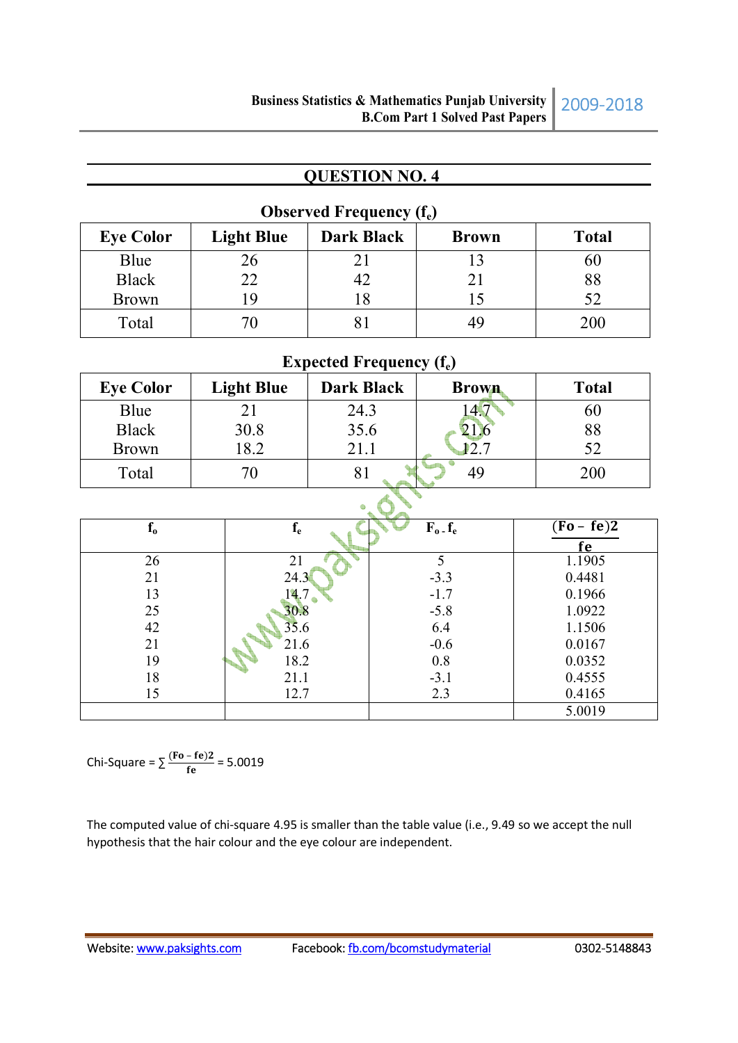| <b>ODSEI VEU FIEGUEILY (I<sub>e</sub>)</b> |                   |                   |              |              |  |  |
|--------------------------------------------|-------------------|-------------------|--------------|--------------|--|--|
| <b>Eye Color</b>                           | <b>Light Blue</b> | <b>Dark Black</b> | <b>Brown</b> | <b>Total</b> |  |  |
| Blue                                       | 26                |                   |              | 60           |  |  |
| <b>Black</b>                               | 22                | 42                |              | 88           |  |  |
| <b>Brown</b>                               | -9                |                   |              | 52           |  |  |
| Total                                      |                   |                   | 49           | 200          |  |  |

#### *<u>Observed Frequency (f)</u>*

# Expected Frequency (f<sub>e</sub>)

| <b>Eye Color</b> | <b>Light Blue</b> | <b>Dark Black</b> | <b>Brown</b> | <b>Total</b> |  |
|------------------|-------------------|-------------------|--------------|--------------|--|
| Blue             | 21                | 24.3              |              | 60           |  |
| <b>Black</b>     | 30.8              | 35.6              |              | 88           |  |
| <b>Brown</b>     | 18.2              | 21.1              |              | 52           |  |
| Total            | 70                | 81                | 49           | 200          |  |
|                  |                   |                   |              |              |  |

| $\mathbf{f}_\mathbf{0}$ | $\mathbf{f}_{\mathrm{e}}$ | $F_o$ $f_e$ | $(Fo - fe)2$ |  |  |  |
|-------------------------|---------------------------|-------------|--------------|--|--|--|
|                         |                           |             | te.          |  |  |  |
| 26                      | 21                        |             | 1.1905       |  |  |  |
| 21                      | 24.3                      | $-3.3$      | 0.4481       |  |  |  |
| 13                      | 14.7                      | $-1.7$      | 0.1966       |  |  |  |
| 25                      | 30.8                      | $-5.8$      | 1.0922       |  |  |  |
| 42                      | 35.6                      | 6.4         | 1.1506       |  |  |  |
| 21                      | 21.6                      | $-0.6$      | 0.0167       |  |  |  |
| 19                      | 18.2                      | 0.8         | 0.0352       |  |  |  |
| 18                      | 21.1                      | $-3.1$      | 0.4555       |  |  |  |
| 15                      | 12.7                      | 2.3         | 0.4165       |  |  |  |
|                         |                           |             | 5.0019       |  |  |  |

Chi-Square =  $\sum \frac{(Fo - fe)2}{fe}$  = 5.0019

The computed value of chi-square 4.95 is smaller than the table value (i.e., 9.49 so we accept the null hypothesis that the hair colour and the eye colour are independent.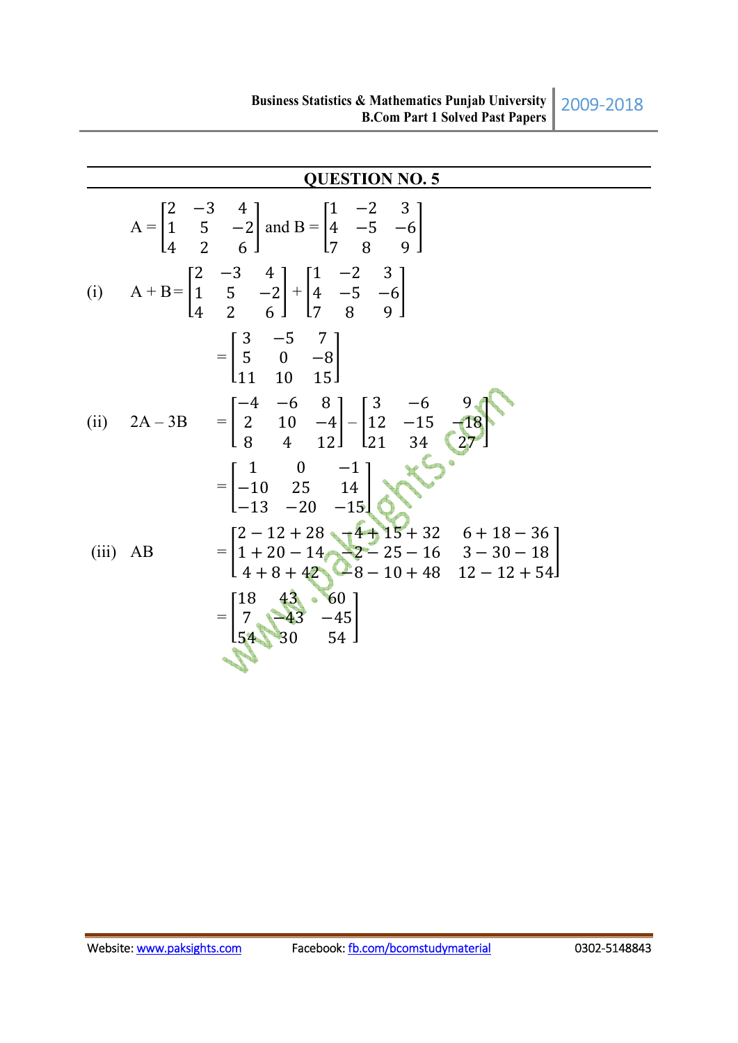$$
A = \begin{bmatrix} 2 & -3 & 4 \\ 1 & 5 & -2 \\ 4 & 2 & 6 \end{bmatrix} \text{ and } B = \begin{bmatrix} 1 & -2 & 3 \\ 4 & -5 & -6 \\ 7 & 8 & 9 \end{bmatrix}
$$
  
(i) 
$$
A + B = \begin{bmatrix} 2 & -3 & 4 \\ 1 & 5 & -2 \\ 4 & 2 & 6 \end{bmatrix} + \begin{bmatrix} 1 & -2 & 3 \\ 4 & -5 & -6 \\ 7 & 8 & 9 \end{bmatrix}
$$

$$
= \begin{bmatrix} 3 & -5 & 7 \\ 5 & 0 & -8 \\ 11 & 10 & 15 \end{bmatrix}
$$
  
(ii) 
$$
2A - 3B = \begin{bmatrix} -4 & -6 & 8 \\ 2 & 10 & -4 \\ 8 & 4 & 12 \end{bmatrix} - \begin{bmatrix} 3 & -6 & 9 \\ 12 & -15 & -18 \\ 21 & 34 & 27 \end{bmatrix}
$$

$$
= \begin{bmatrix} 1 & 0 & -1 \\ -10 & 25 & 14 \\ -13 & -20 & -15 \end{bmatrix}
$$
  
(iii) AB = 
$$
\begin{bmatrix} 2 - 12 + 28 & 4 + 15 + 32 & 6 + 18 - 36 \\ 1 + 20 - 14 & 2 - 25 - 16 & 3 - 30 - 18 \\ 4 + 8 + 42 & 8 - 10 + 48 & 12 - 12 + 54 \end{bmatrix}
$$

$$
= \begin{bmatrix} 18 & 43 & 60 \\ 7 & 43 & -45 \\ 54 & 30 & 54 \end{bmatrix}
$$

2009-2018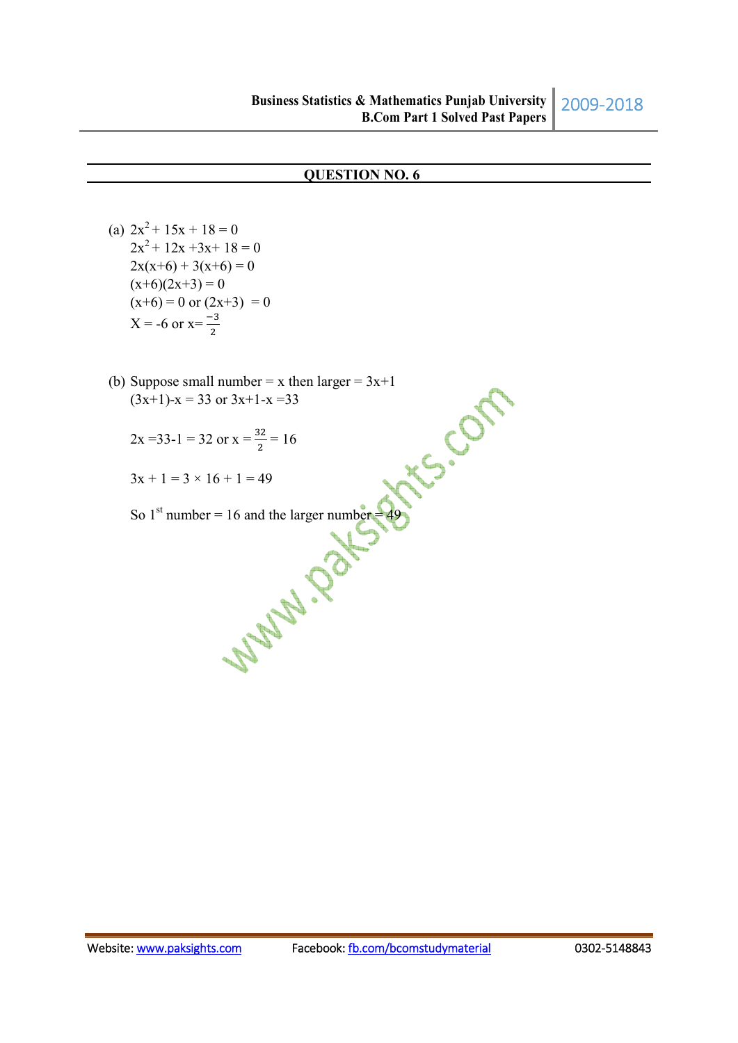(a)  $2x^2 + 15x + 18 = 0$  $2x^2 + 12x + 3x + 18 = 0$  $2x(x+6) + 3(x+6) = 0$  $(x+6)(2x+3) = 0$  $(x+6) = 0$  or  $(2x+3) = 0$  $X = -6$  or  $x = \frac{-3}{2}$ 

- (b) Suppose small number = x then larger = 3x+1<br>  $(3x+1)-x = 33$  or  $3x+1-x=33$ <br>  $2x = 33-1 = 32$  or  $x = \frac{32}{2} = 16$ <br>  $3x + 1 = 3 \times 16 + 1 = 40$  $(3x+1)-x = 33$  or  $3x+1-x = 33$ 
	- $2x = 33-1 = 32$  or  $x = \frac{32}{2} = 16$
	- $3x + 1 = 3 \times 16 + 1 = 49$

So 1st number = 16 and the larger number = 49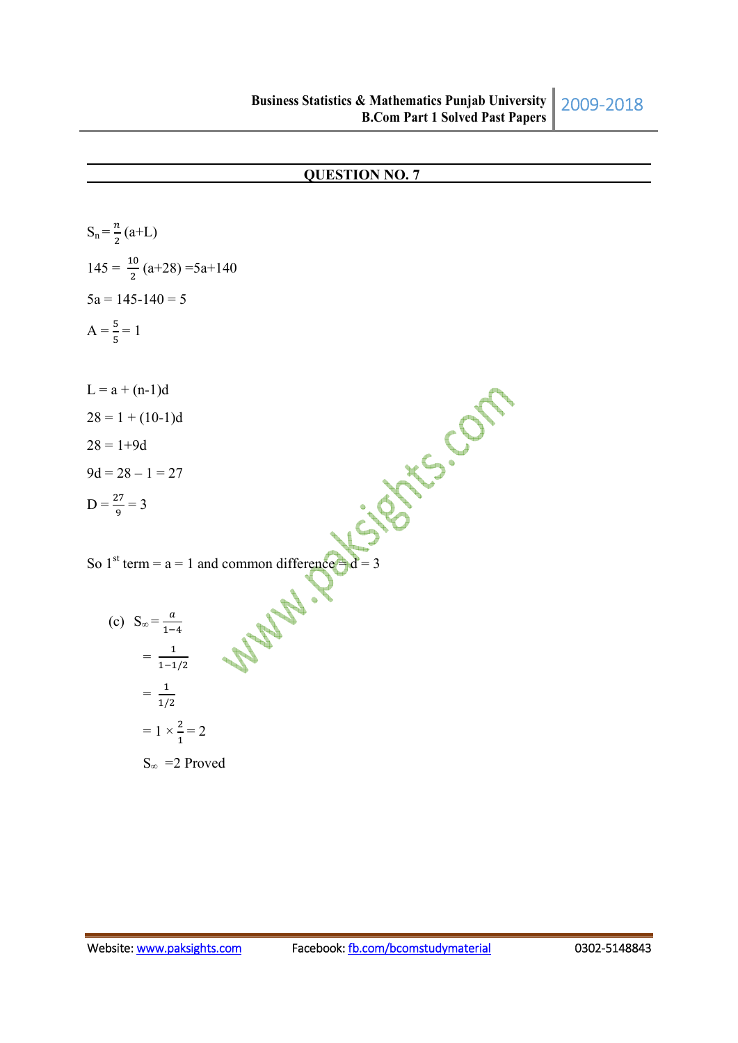$$
S_n = \frac{n}{2}(a+L)
$$
  
\n
$$
145 = \frac{10}{2}(a+28) = 5a+140
$$
  
\n
$$
5a = 145-140 = 5
$$
  
\n
$$
A = \frac{5}{5} = 1
$$
  
\n
$$
L = a + (n-1)d
$$
  
\n
$$
28 = 1 + (10-1)d
$$
  
\n
$$
28 = 1 + 9d
$$
  
\n
$$
9d = 28 - 1 = 27
$$
  
\n
$$
D = \frac{27}{9} = 3
$$
  
\nSo 1<sup>st</sup> term = a = 1 and common difference d = 3  
\n(c) 
$$
S_{\infty} = \frac{a}{1-4}
$$
  
\n
$$
= \frac{1}{1/2}
$$
  
\n
$$
= 1 \times \frac{2}{1} = 2
$$

S<sub>∞</sub> = 2 Proved